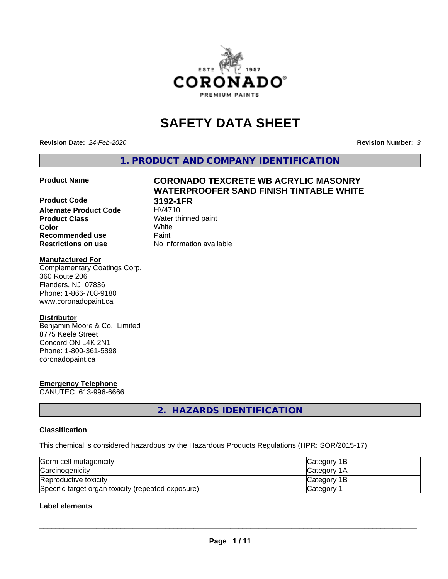

# **SAFETY DATA SHEET**

**Revision Date:** *24-Feb-2020* **Revision Number:** *3*

**1. PRODUCT AND COMPANY IDENTIFICATION**

# **Product Code 3192-1FR Alternate Product Code Product Class** Water thinned paint<br> **Color** White **Color** White **Recommended use Caint**

# **Product Name CORONADO TEXCRETE WB ACRYLIC MASONRY WATERPROOFER SAND FINISH TINTABLE WHITE**

**Restrictions on use** No information available

# **Manufactured For**

Complementary Coatings Corp. 360 Route 206 Flanders, NJ 07836 Phone: 1-866-708-9180 www.coronadopaint.ca

# **Distributor**

Benjamin Moore & Co., Limited 8775 Keele Street Concord ON L4K 2N1 Phone: 1-800-361-5898 coronadopaint.ca

# **Emergency Telephone**

CANUTEC: 613-996-6666

**2. HAZARDS IDENTIFICATION**

# **Classification**

This chemical is considered hazardous by the Hazardous Products Regulations (HPR: SOR/2015-17)

| Germ cell mutagenicity                             | <b>Category 1B</b> |
|----------------------------------------------------|--------------------|
| Carcinogenicity                                    | <b>Category 1A</b> |
| Reproductive toxicity                              | <b>Category 1B</b> |
| Specific target organ toxicity (repeated exposure) | Category           |

# **Label elements**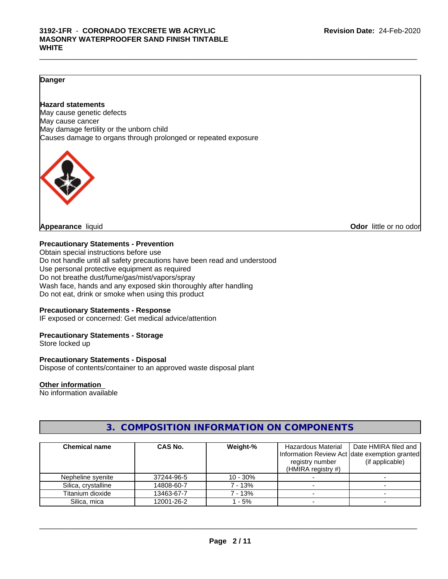## $\_$  ,  $\_$  ,  $\_$  ,  $\_$  ,  $\_$  ,  $\_$  ,  $\_$  ,  $\_$  ,  $\_$  ,  $\_$  ,  $\_$  ,  $\_$  ,  $\_$  ,  $\_$  ,  $\_$  ,  $\_$  ,  $\_$  ,  $\_$  ,  $\_$  ,  $\_$  ,  $\_$  ,  $\_$  ,  $\_$  ,  $\_$  ,  $\_$  ,  $\_$  ,  $\_$  ,  $\_$  ,  $\_$  ,  $\_$  ,  $\_$  ,  $\_$  ,  $\_$  ,  $\_$  ,  $\_$  ,  $\_$  ,  $\_$  , **3192-1FR** - **CORONADO TEXCRETE WB ACRYLIC MASONRY WATERPROOFER SAND FINISH TINTABLE WHITE**

# **Danger**

# **Hazard statements**

May cause genetic defects May cause cancer May damage fertility or the unborn child Causes damage to organs through prolonged or repeated exposure



**Appearance** liquid **Odor in the original of the original of the original of the original of the original of the original of the original of the original of the original of the original of the original of the original of t** 

# **Precautionary Statements - Prevention**

Obtain special instructions before use Do not handle until all safety precautions have been read and understood Use personal protective equipment as required Do not breathe dust/fume/gas/mist/vapors/spray Wash face, hands and any exposed skin thoroughly after handling Do not eat, drink or smoke when using this product

# **Precautionary Statements - Response**

IF exposed or concerned: Get medical advice/attention

# **Precautionary Statements - Storage**

Store locked up

# **Precautionary Statements - Disposal**

Dispose of contents/container to an approved waste disposal plant

# **Other information**

No information available

# **3. COMPOSITION INFORMATION ON COMPONENTS**

| <b>Chemical name</b> | CAS No.    | Weight-%   | Hazardous Material    | Date HMIRA filed and                           |
|----------------------|------------|------------|-----------------------|------------------------------------------------|
|                      |            |            |                       | Information Review Act Idate exemption granted |
|                      |            |            | registry number       | (if applicable)                                |
|                      |            |            | (HMIRA registry $#$ ) |                                                |
| Nepheline syenite    | 37244-96-5 | $10 - 30%$ |                       |                                                |
| Silica, crystalline  | 14808-60-7 | 7 - 13%    |                       |                                                |
| Titanium dioxide     | 13463-67-7 | 7 - 13%    |                       |                                                |
| Silica, mica         | 12001-26-2 | 1 - 5%     |                       |                                                |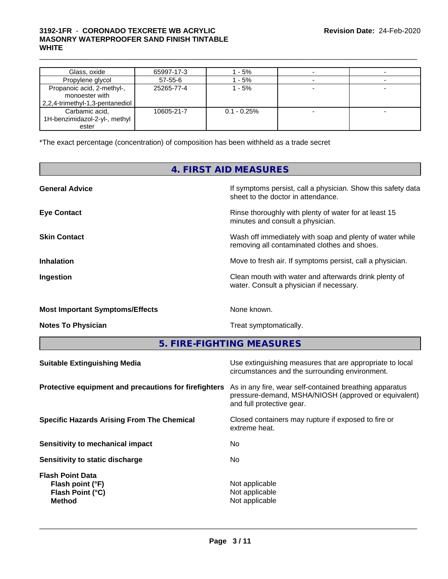# $\_$  ,  $\_$  ,  $\_$  ,  $\_$  ,  $\_$  ,  $\_$  ,  $\_$  ,  $\_$  ,  $\_$  ,  $\_$  ,  $\_$  ,  $\_$  ,  $\_$  ,  $\_$  ,  $\_$  ,  $\_$  ,  $\_$  ,  $\_$  ,  $\_$  ,  $\_$  ,  $\_$  ,  $\_$  ,  $\_$  ,  $\_$  ,  $\_$  ,  $\_$  ,  $\_$  ,  $\_$  ,  $\_$  ,  $\_$  ,  $\_$  ,  $\_$  ,  $\_$  ,  $\_$  ,  $\_$  ,  $\_$  ,  $\_$  , **3192-1FR** - **CORONADO TEXCRETE WB ACRYLIC MASONRY WATERPROOFER SAND FINISH TINTABLE WHITE**

| Glass, oxide                                                                    | 65997-17-3    | 1 - 5%         |  |
|---------------------------------------------------------------------------------|---------------|----------------|--|
| Propylene glycol                                                                | $57 - 55 - 6$ | 1 - 5%         |  |
| Propanoic acid, 2-methyl-,<br>monoester with<br>2,2,4-trimethyl-1,3-pentanediol | 25265-77-4    | 1 - 5%         |  |
| Carbamic acid,<br>1H-benzimidazol-2-yl-, methyl<br>ester                        | 10605-21-7    | $0.1 - 0.25\%$ |  |

\*The exact percentage (concentration) of composition has been withheld as a trade secret

# **4. FIRST AID MEASURES**

| <b>General Advice</b>                  | If symptoms persist, call a physician. Show this safety data<br>sheet to the doctor in attendance.       |
|----------------------------------------|----------------------------------------------------------------------------------------------------------|
| <b>Eye Contact</b>                     | Rinse thoroughly with plenty of water for at least 15<br>minutes and consult a physician.                |
| <b>Skin Contact</b>                    | Wash off immediately with soap and plenty of water while<br>removing all contaminated clothes and shoes. |
| <b>Inhalation</b>                      | Move to fresh air. If symptoms persist, call a physician.                                                |
| Ingestion                              | Clean mouth with water and afterwards drink plenty of<br>water. Consult a physician if necessary.        |
| <b>Most Important Symptoms/Effects</b> | None known.                                                                                              |
| <b>Notes To Physician</b>              | Treat symptomatically.                                                                                   |
|                                        |                                                                                                          |

**5. FIRE-FIGHTING MEASURES**

| <b>Suitable Extinguishing Media</b>                                              | Use extinguishing measures that are appropriate to local<br>circumstances and the surrounding environment.                                   |
|----------------------------------------------------------------------------------|----------------------------------------------------------------------------------------------------------------------------------------------|
| Protective equipment and precautions for firefighters                            | As in any fire, wear self-contained breathing apparatus<br>pressure-demand, MSHA/NIOSH (approved or equivalent)<br>and full protective gear. |
| <b>Specific Hazards Arising From The Chemical</b>                                | Closed containers may rupture if exposed to fire or<br>extreme heat.                                                                         |
| Sensitivity to mechanical impact                                                 | No.                                                                                                                                          |
| Sensitivity to static discharge                                                  | No.                                                                                                                                          |
| <b>Flash Point Data</b><br>Flash point (°F)<br>Flash Point (°C)<br><b>Method</b> | Not applicable<br>Not applicable<br>Not applicable                                                                                           |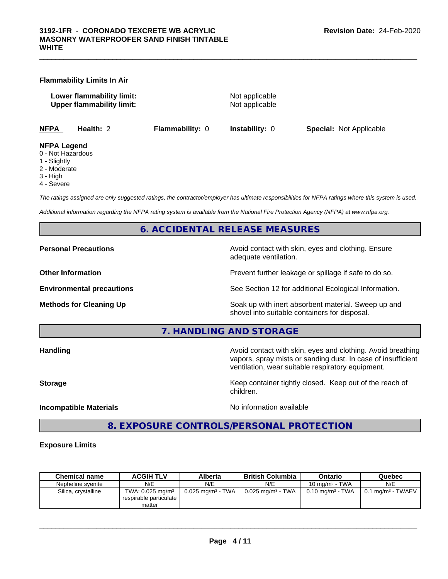### **Flammability Limits In Air**

**Lower flammability limit:** Not applicable **Upper flammability limit:** Not applicable

**NFPA Health:** 2 **Flammability:** 0 **Instability:** 0 **Special:** Not Applicable

### **NFPA Legend**

- 0 Not Hazardous
- 1 Slightly
- 2 Moderate
- 3 High
- 4 Severe

*The ratings assigned are only suggested ratings, the contractor/employer has ultimate responsibilities for NFPA ratings where this system is used.*

*Additional information regarding the NFPA rating system is available from the National Fire Protection Agency (NFPA) at www.nfpa.org.*

# **6. ACCIDENTAL RELEASE MEASURES**

**Personal Precautions Precautions** Avoid contact with skin, eyes and clothing. Ensure adequate ventilation.

**Other Information Discription Prevent further leakage or spillage if safe to do so.** 

**Environmental precautions** See Section 12 for additional Ecological Information.

**Methods for Cleaning Up Example 20 All 20 All 20 All 20 Soak** up with inert absorbent material. Sweep up and shovel into suitable containers for disposal.

**7. HANDLING AND STORAGE**

**Handling Handling Avoid contact with skin, eyes and clothing. Avoid breathing** vapors, spray mists or sanding dust. In case of insufficient ventilation, wear suitable respiratory equipment.

**Storage Keep container tightly closed. Keep out of the reach of Keep** container tightly closed. Keep out of the reach of

**Incompatible Materials Incompatible Materials No information available** 

 $\overline{\phantom{a}}$  ,  $\overline{\phantom{a}}$  ,  $\overline{\phantom{a}}$  ,  $\overline{\phantom{a}}$  ,  $\overline{\phantom{a}}$  ,  $\overline{\phantom{a}}$  ,  $\overline{\phantom{a}}$  ,  $\overline{\phantom{a}}$  ,  $\overline{\phantom{a}}$  ,  $\overline{\phantom{a}}$  ,  $\overline{\phantom{a}}$  ,  $\overline{\phantom{a}}$  ,  $\overline{\phantom{a}}$  ,  $\overline{\phantom{a}}$  ,  $\overline{\phantom{a}}$  ,  $\overline{\phantom{a}}$ 

# **8. EXPOSURE CONTROLS/PERSONAL PROTECTION**

children.

# **Exposure Limits**

| <b>Chemical name</b> | <b>ACGIH TLV</b>                                                   | Alberta                         | <b>British Columbia</b>         | Ontario                        | Quebec                            |
|----------------------|--------------------------------------------------------------------|---------------------------------|---------------------------------|--------------------------------|-----------------------------------|
| Nepheline svenite    | N/E                                                                | N/E                             | N/E                             | 10 mg/m $3$ - TWA              | N/E                               |
| Silica, crystalline  | TWA: $0.025$ mg/m <sup>3</sup><br>respirable particulate<br>matter | $0.025$ mg/m <sup>3</sup> - TWA | $0.025$ mg/m <sup>3</sup> - TWA | $0.10$ mg/m <sup>3</sup> - TWA | $0.1$ mg/m <sup>3</sup> - TWAEV + |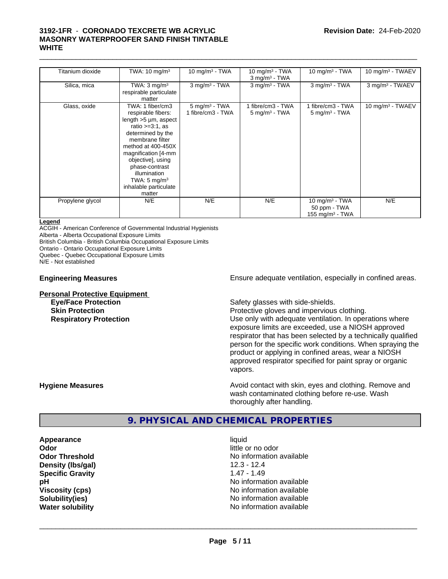# $\_$  ,  $\_$  ,  $\_$  ,  $\_$  ,  $\_$  ,  $\_$  ,  $\_$  ,  $\_$  ,  $\_$  ,  $\_$  ,  $\_$  ,  $\_$  ,  $\_$  ,  $\_$  ,  $\_$  ,  $\_$  ,  $\_$  ,  $\_$  ,  $\_$  ,  $\_$  ,  $\_$  ,  $\_$  ,  $\_$  ,  $\_$  ,  $\_$  ,  $\_$  ,  $\_$  ,  $\_$  ,  $\_$  ,  $\_$  ,  $\_$  ,  $\_$  ,  $\_$  ,  $\_$  ,  $\_$  ,  $\_$  ,  $\_$  , **3192-1FR** - **CORONADO TEXCRETE WB ACRYLIC MASONRY WATERPROOFER SAND FINISH TINTABLE WHITE**

| Titanium dioxide | TWA: 10 mg/m <sup>3</sup>                                                                                                                                                                                                                                                                            | 10 mg/m $3$ - TWA                                | 10 mg/m $3$ - TWA<br>$3$ mg/m <sup>3</sup> - TWA | 10 mg/m $3$ - TWA                                       | 10 mg/m <sup>3</sup> - TWAEV |
|------------------|------------------------------------------------------------------------------------------------------------------------------------------------------------------------------------------------------------------------------------------------------------------------------------------------------|--------------------------------------------------|--------------------------------------------------|---------------------------------------------------------|------------------------------|
| Silica, mica     | TWA: $3 \text{ mg/m}^3$<br>respirable particulate<br>matter                                                                                                                                                                                                                                          | $3$ mg/m <sup>3</sup> - TWA                      | $3$ mg/m <sup>3</sup> - TWA                      | $3$ mg/m $3$ - TWA                                      | 3 mg/m <sup>3</sup> - TWAEV  |
| Glass, oxide     | TWA: 1 fiber/cm3<br>respirable fibers:<br>length $>5 \mu m$ , aspect<br>ratio $>=3:1$ , as<br>determined by the<br>membrane filter<br>method at 400-450X<br>magnification [4-mm<br>objective], using<br>phase-contrast<br>illumination<br>TWA: $5 \text{ mg/m}^3$<br>inhalable particulate<br>matter | $5$ mg/m <sup>3</sup> - TWA<br>1 fibre/cm3 - TWA | 1 fibre/cm3 - TWA<br>$5 \text{ mg/m}$ - TWA      | 1 fibre/cm3 - TWA<br>$5 \text{ mg/m}^3$ - TWA           | 10 mg/m <sup>3</sup> - TWAEV |
| Propylene glycol | N/E                                                                                                                                                                                                                                                                                                  | N/E                                              | N/E                                              | 10 mg/m $3$ - TWA<br>50 ppm - TWA<br>155 mg/m $3$ - TWA | N/E                          |

### **Legend**

ACGIH - American Conference of Governmental Industrial Hygienists

Alberta - Alberta Occupational Exposure Limits

British Columbia - British Columbia Occupational Exposure Limits

Ontario - Ontario Occupational Exposure Limits

Quebec - Quebec Occupational Exposure Limits

N/E - Not established

# **Personal Protective Equipment**<br> **Eye/Face Protection**

**Engineering Measures Ensure** Ensure adequate ventilation, especially in confined areas.

Safety glasses with side-shields.

**Skin Protection Protection** Protective gloves and impervious clothing. **Respiratory Protection Number 2** Use only with adequate ventilation. In operations where exposure limits are exceeded, use a NIOSH approved respirator that has been selected by a technically qualified person for the specific work conditions. When spraying the product or applying in confined areas, wear a NIOSH approved respirator specified for paint spray or organic vapors.

**Hygiene Measures Avoid contact with skin, eyes and clothing. Remove and Hygiene Measures** and clothing. Remove and wash contaminated clothing before re-use. Wash thoroughly after handling.

# **9. PHYSICAL AND CHEMICAL PROPERTIES**

**Appearance** liquid **Odor** little or no odor **Density (lbs/gal)** 12.3 - 12.4 **Specific Gravity** 1.47 - 1.49

**Odor Threshold No information available No information available pH pH**  $\blacksquare$ **Viscosity (cps)** <br> **Viscosity (cps)** No information available<br>
No information available<br>
No information available **Solubility(ies)** No information available **Water solubility Water solubility Water solubility Water solubility Water solubility Water solution**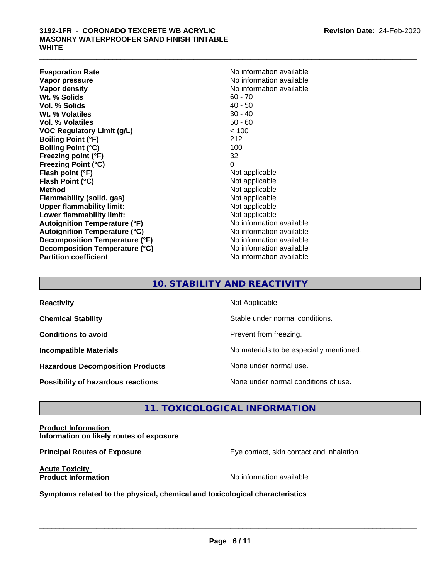**Evaporation Rate No information available No information available Vapor pressure** No information available **Vapor density**<br> **We Solids**<br>
We Solids
2019<br>
We Solid Number 2019<br>
Me Collection 2019<br>
Me Collection 2019<br>
Me Collection 2019<br>
Me Collection 2021<br>
Me Collection 2021<br>
Me Collection 2021<br>
Me Collection 2021<br>
Me Collection **Wt. % Solids** 60 - 70<br> **Vol. % Solids** 40 - 50 **Vol. % Solids Wt. % Volatiles** 30 - 40 **Vol. % Volatiles** 50 - 60 **VOC Regulatory Limit (g/L)** < 100 **Boiling Point (°F)** 212 **Boiling Point (°C)** 100 **Freezing point (°F)** 32 **Freezing Point (°C)** 0<br> **Flash point (°F)** 0<br>
Not applicable **Flash point (°F)** Not applicable **Flash Point (°C) Method**<br> **Flammability (solid, gas)**<br> **Example 2018** Not applicable **Flammability** (solid, gas) **Upper flammability limit:** Not applicable **Lower flammability limit:**<br> **Autoignition Temperature (°F)** Not applicable Not applicable **Autoignition Temperature (°F) Autoignition Temperature (°C)** No information available **Decomposition Temperature (°F)** No information available **Decomposition Temperature (°C)** No information available **Partition coefficient** No information available

# **10. STABILITY AND REACTIVITY**

| <b>Reactivity</b>                         | Not Applicable                           |
|-------------------------------------------|------------------------------------------|
| <b>Chemical Stability</b>                 | Stable under normal conditions.          |
| <b>Conditions to avoid</b>                | Prevent from freezing.                   |
| <b>Incompatible Materials</b>             | No materials to be especially mentioned. |
| <b>Hazardous Decomposition Products</b>   | None under normal use.                   |
| <b>Possibility of hazardous reactions</b> | None under normal conditions of use.     |

# **11. TOXICOLOGICAL INFORMATION**

**Product Information Information on likely routes of exposure**

**Principal Routes of Exposure** Eye contact, skin contact and inhalation.

**Acute Toxicity** 

**Product Information** and **Product Information No information available** 

 $\overline{\phantom{a}}$  ,  $\overline{\phantom{a}}$  ,  $\overline{\phantom{a}}$  ,  $\overline{\phantom{a}}$  ,  $\overline{\phantom{a}}$  ,  $\overline{\phantom{a}}$  ,  $\overline{\phantom{a}}$  ,  $\overline{\phantom{a}}$  ,  $\overline{\phantom{a}}$  ,  $\overline{\phantom{a}}$  ,  $\overline{\phantom{a}}$  ,  $\overline{\phantom{a}}$  ,  $\overline{\phantom{a}}$  ,  $\overline{\phantom{a}}$  ,  $\overline{\phantom{a}}$  ,  $\overline{\phantom{a}}$ 

**<u>Symptoms related to the physical, chemical and toxicological characteristics</u>**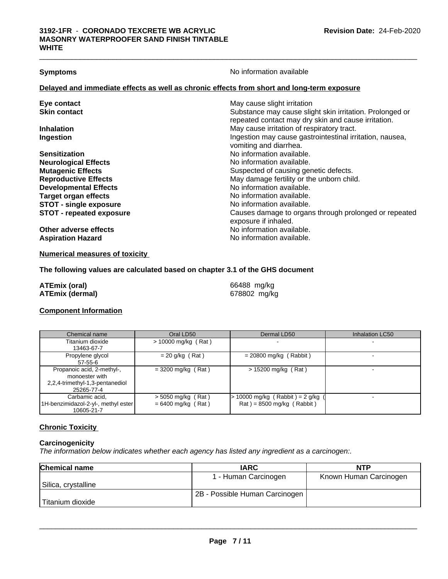**Symptoms** No information available

# **Delayed and immediate effects as well as chronic effects from short and long-term exposure**

| Eye contact                     | May cause slight irritation                              |
|---------------------------------|----------------------------------------------------------|
| <b>Skin contact</b>             | Substance may cause slight skin irritation. Prolonged or |
|                                 | repeated contact may dry skin and cause irritation.      |
| <b>Inhalation</b>               | May cause irritation of respiratory tract.               |
| Ingestion                       | Ingestion may cause gastrointestinal irritation, nausea, |
|                                 | vomiting and diarrhea.                                   |
| <b>Sensitization</b>            | No information available.                                |
| <b>Neurological Effects</b>     | No information available.                                |
| <b>Mutagenic Effects</b>        | Suspected of causing genetic defects.                    |
| <b>Reproductive Effects</b>     | May damage fertility or the unborn child.                |
| <b>Developmental Effects</b>    | No information available.                                |
| <b>Target organ effects</b>     | No information available.                                |
| <b>STOT - single exposure</b>   | No information available.                                |
| <b>STOT - repeated exposure</b> | Causes damage to organs through prolonged or repeated    |
|                                 | exposure if inhaled.                                     |
| Other adverse effects           | No information available.                                |
| <b>Aspiration Hazard</b>        | No information available.                                |
|                                 |                                                          |

**Numerical measures of toxicity**

# **The following values are calculated based on chapter 3.1 of the GHS document**

| ATEmix (oral)   | 66488 mg/kg  |
|-----------------|--------------|
| ATEmix (dermal) | 678802 mg/kg |

# **Component Information**

| Chemical name                                                                                 | Oral LD50                                    | Dermal LD50                                                        | Inhalation LC50 |
|-----------------------------------------------------------------------------------------------|----------------------------------------------|--------------------------------------------------------------------|-----------------|
| Titanium dioxide<br>13463-67-7                                                                | $> 10000$ mg/kg (Rat)                        |                                                                    |                 |
| Propylene glycol<br>$57 - 55 - 6$                                                             | $= 20$ g/kg (Rat)                            | $= 20800$ mg/kg (Rabbit)                                           |                 |
| Propanoic acid, 2-methyl-,<br>monoester with<br>2,2,4-trimethyl-1,3-pentanediol<br>25265-77-4 | $=$ 3200 mg/kg (Rat)                         | $> 15200$ mg/kg (Rat)                                              |                 |
| Carbamic acid.<br>1H-benzimidazol-2-yl-, methyl ester<br>10605-21-7                           | $>$ 5050 mg/kg (Rat)<br>$= 6400$ mg/kg (Rat) | $> 10000$ mg/kg (Rabbit) = 2 g/kg (<br>$Rat$ = 8500 mg/kg (Rabbit) |                 |

# **Chronic Toxicity**

# **Carcinogenicity**

*The information below indicateswhether each agency has listed any ingredient as a carcinogen:.*

| <b>Chemical name</b> | <b>IARC</b>                    | NTP                    |
|----------------------|--------------------------------|------------------------|
|                      | 1 - Human Carcinogen           | Known Human Carcinogen |
| Silica, crystalline  |                                |                        |
|                      | 2B - Possible Human Carcinogen |                        |
| Titanium dioxide     |                                |                        |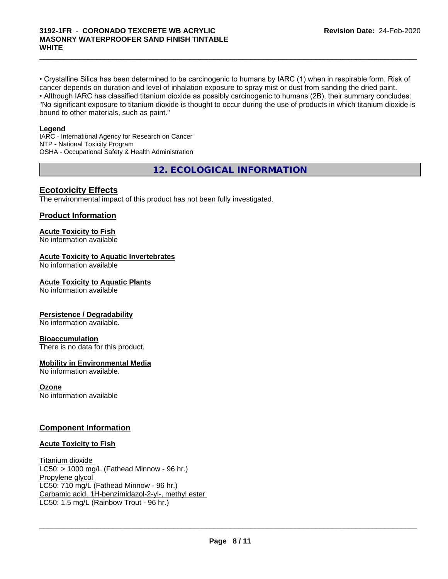• Crystalline Silica has been determined to be carcinogenic to humans by IARC (1) when in respirable form. Risk of cancer depends on duration and level of inhalation exposure to spray mist or dust from sanding the dried paint.• Although IARC has classified titanium dioxide as possibly carcinogenic to humans (2B), their summary concludes: "No significant exposure to titanium dioxide is thought to occur during the use of products in which titanium dioxide is bound to other materials, such as paint."

 $\_$  ,  $\_$  ,  $\_$  ,  $\_$  ,  $\_$  ,  $\_$  ,  $\_$  ,  $\_$  ,  $\_$  ,  $\_$  ,  $\_$  ,  $\_$  ,  $\_$  ,  $\_$  ,  $\_$  ,  $\_$  ,  $\_$  ,  $\_$  ,  $\_$  ,  $\_$  ,  $\_$  ,  $\_$  ,  $\_$  ,  $\_$  ,  $\_$  ,  $\_$  ,  $\_$  ,  $\_$  ,  $\_$  ,  $\_$  ,  $\_$  ,  $\_$  ,  $\_$  ,  $\_$  ,  $\_$  ,  $\_$  ,  $\_$  ,

### **Legend**

IARC - International Agency for Research on Cancer NTP - National Toxicity Program OSHA - Occupational Safety & Health Administration

**12. ECOLOGICAL INFORMATION**

# **Ecotoxicity Effects**

The environmental impact of this product has not been fully investigated.

# **Product Information**

# **Acute Toxicity to Fish**

No information available

# **Acute Toxicity to Aquatic Invertebrates**

No information available

### **Acute Toxicity to Aquatic Plants**

No information available

# **Persistence / Degradability**

No information available.

### **Bioaccumulation**

There is no data for this product.

### **Mobility in Environmental Media**

No information available.

### **Ozone**

No information available

# **Component Information**

### **Acute Toxicity to Fish**

Titanium dioxide  $LC50:$  > 1000 mg/L (Fathead Minnow - 96 hr.) Propylene glycol LC50: 710 mg/L (Fathead Minnow - 96 hr.) Carbamic acid, 1H-benzimidazol-2-yl-, methyl ester LC50: 1.5 mg/L (Rainbow Trout - 96 hr.)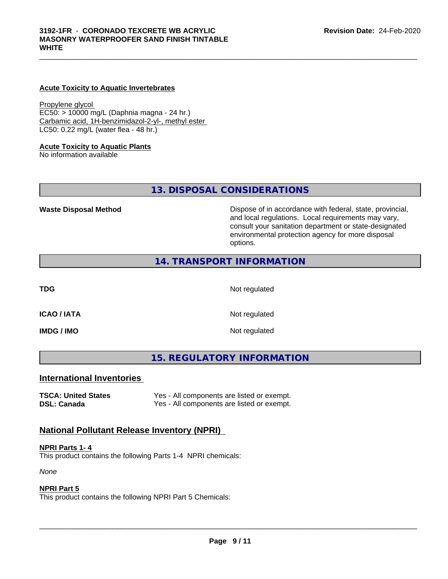### **Acute Toxicity to Aquatic Invertebrates**

Propylene glycol EC50: > 10000 mg/L (Daphnia magna - 24 hr.) Carbamic acid, 1H-benzimidazol-2-yl-, methyl ester LC50: 0.22 mg/L (water flea - 48 hr.)

### **Acute Toxicity to Aquatic Plants**

No information available

**13. DISPOSAL CONSIDERATIONS**

**Waste Disposal Method Dispose of in accordance with federal, state, provincial,** and local regulations. Local requirements may vary, consult your sanitation department or state-designated environmental protection agency for more disposal options.

# **14. TRANSPORT INFORMATION**

**TDG** Not regulated

**ICAO / IATA** Not regulated

**IMDG / IMO** Not regulated

**15. REGULATORY INFORMATION**

# **International Inventories**

**TSCA: United States** Yes - All components are listed or exempt. **DSL: Canada** Yes - All components are listed or exempt.

# **National Pollutant Release Inventory (NPRI)**

### **NPRI Parts 1- 4**

This product contains the following Parts 1-4 NPRI chemicals:

*None*

# **NPRI Part 5**

This product contains the following NPRI Part 5 Chemicals: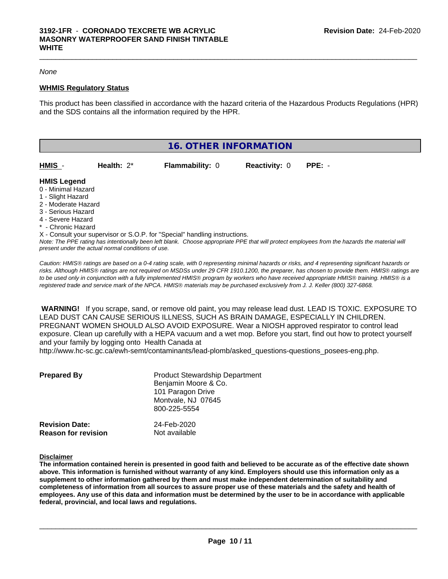### *None*

### **WHMIS Regulatory Status**

This product has been classified in accordance with the hazard criteria of the Hazardous Products Regulations (HPR) and the SDS contains all the information required by the HPR.

 $\_$  ,  $\_$  ,  $\_$  ,  $\_$  ,  $\_$  ,  $\_$  ,  $\_$  ,  $\_$  ,  $\_$  ,  $\_$  ,  $\_$  ,  $\_$  ,  $\_$  ,  $\_$  ,  $\_$  ,  $\_$  ,  $\_$  ,  $\_$  ,  $\_$  ,  $\_$  ,  $\_$  ,  $\_$  ,  $\_$  ,  $\_$  ,  $\_$  ,  $\_$  ,  $\_$  ,  $\_$  ,  $\_$  ,  $\_$  ,  $\_$  ,  $\_$  ,  $\_$  ,  $\_$  ,  $\_$  ,  $\_$  ,  $\_$  ,

|                                                                                                                                 |               | 16. OTHER INFORMATION                                                      |                      |          |  |
|---------------------------------------------------------------------------------------------------------------------------------|---------------|----------------------------------------------------------------------------|----------------------|----------|--|
| HMIS -                                                                                                                          | Health: $2^*$ | <b>Flammability: 0</b>                                                     | <b>Reactivity: 0</b> | $PPE: -$ |  |
| <b>HMIS Legend</b><br>0 - Minimal Hazard<br>1 - Slight Hazard<br>2 - Moderate Hazard<br>3 - Serious Hazard<br>4 - Severe Hazard |               |                                                                            |                      |          |  |
| * - Chronic Hazard                                                                                                              |               | X - Consult your supervisor or S.O.P. for "Special" handling instructions. |                      |          |  |

*Note: The PPE rating has intentionally been left blank. Choose appropriate PPE that will protect employees from the hazards the material will present under the actual normal conditions of use.*

*Caution: HMISÒ ratings are based on a 0-4 rating scale, with 0 representing minimal hazards or risks, and 4 representing significant hazards or risks. Although HMISÒ ratings are not required on MSDSs under 29 CFR 1910.1200, the preparer, has chosen to provide them. HMISÒ ratings are to be used only in conjunction with a fully implemented HMISÒ program by workers who have received appropriate HMISÒ training. HMISÒ is a registered trade and service mark of the NPCA. HMISÒ materials may be purchased exclusively from J. J. Keller (800) 327-6868.*

 **WARNING!** If you scrape, sand, or remove old paint, you may release lead dust. LEAD IS TOXIC. EXPOSURE TO LEAD DUST CAN CAUSE SERIOUS ILLNESS, SUCH AS BRAIN DAMAGE, ESPECIALLY IN CHILDREN. PREGNANT WOMEN SHOULD ALSO AVOID EXPOSURE.Wear a NIOSH approved respirator to control lead exposure. Clean up carefully with a HEPA vacuum and a wet mop. Before you start, find out how to protect yourself and your family by logging onto Health Canada at http://www.hc-sc.gc.ca/ewh-semt/contaminants/lead-plomb/asked\_questions-questions\_posees-eng.php.

| <b>Prepared By</b>                                  | <b>Product Stewardship Department</b><br>Benjamin Moore & Co.<br>101 Paragon Drive<br>Montvale, NJ 07645<br>800-225-5554 |  |
|-----------------------------------------------------|--------------------------------------------------------------------------------------------------------------------------|--|
| <b>Revision Date:</b><br><b>Reason for revision</b> | 24-Feb-2020<br>Not available                                                                                             |  |

**Disclaimer**

The information contained herein is presented in good faith and believed to be accurate as of the effective date shown above. This information is furnished without warranty of any kind. Employers should use this information only as a **supplement to other information gathered by them and must make independent determination of suitability and** completeness of information from all sources to assure proper use of these materials and the safety and health of employees. Any use of this data and information must be determined by the user to be in accordance with applicable **federal, provincial, and local laws and regulations.**